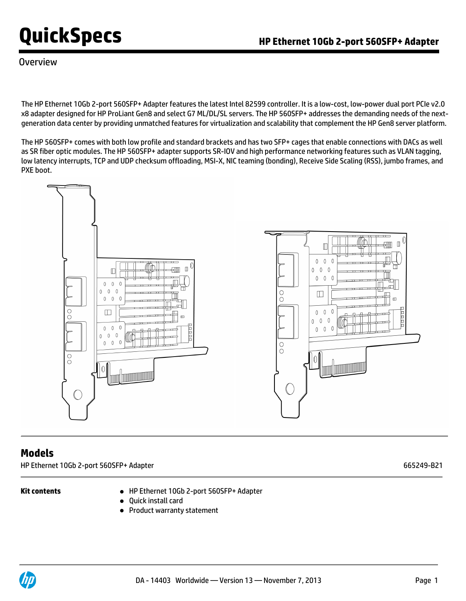### **Overview**

The HP Ethernet 10Gb 2-port 560SFP+ Adapter features the latest Intel 82599 controller. It is a low-cost, low-power dual port PCIe v2.0 x8 adapter designed for HP ProLiant Gen8 and select G7 ML/DL/SL servers. The HP 560SFP+ addresses the demanding needs of the nextgeneration data center by providing unmatched features for virtualization and scalability that complement the HP Gen8 server platform.

The HP 560SFP+ comes with both low profile and standard brackets and has two SFP+ cages that enable connections with DACs as well as SR fiber optic modules. The HP 560SFP+ adapter supports SR-IOV and high performance networking features such as VLAN tagging, low latency interrupts, TCP and UDP checksum offloading, MSI-X, NIC teaming (bonding), Receive Side Scaling (RSS), jumbo frames, and PXE boot.



### **Models**

HP Ethernet 10Gb 2-port 560SFP+ Adapter 665249-B21

- **Kit contents** HP Ethernet 10Gb 2-port 560SFP+ Adapter
	- Quick install card
	- Product warranty statement

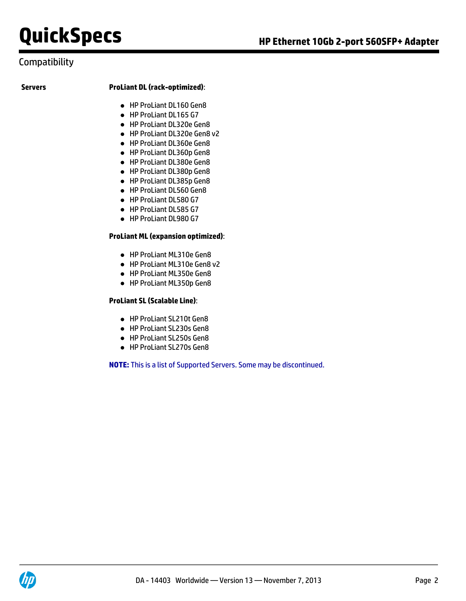### **Compatibility**

### **Servers ProLiant DL (rack-optimized)**:

- HP ProLiant DL160 Gen8
- HP ProLiant DL165 G7
- HP ProLiant DL320e Gen8
- HP ProLiant DL320e Gen8 v2
- HP ProLiant DL360e Gen8
- HP ProLiant DL360p Gen8
- HP ProLiant DL380e Gen8
- HP ProLiant DL380p Gen8
- HP ProLiant DL385p Gen8
- HP ProLiant DL560 Gen8
- HP ProLiant DL580 G7
- HP ProLiant DL585 G7
- HP ProLiant DL980 G7

### **ProLiant ML (expansion optimized)**:

- HP ProLiant ML310e Gen8
- HP ProLiant ML310e Gen8 v2
- HP ProLiant ML350e Gen8
- HP ProLiant ML350p Gen8

### **ProLiant SL (Scalable Line)**:

- HP ProLiant SL210t Gen8
- HP ProLiant SL230s Gen8
- HP ProLiant SL250s Gen8
- HP ProLiant SL270s Gen8

**NOTE:** This is a list of Supported Servers. Some may be discontinued.

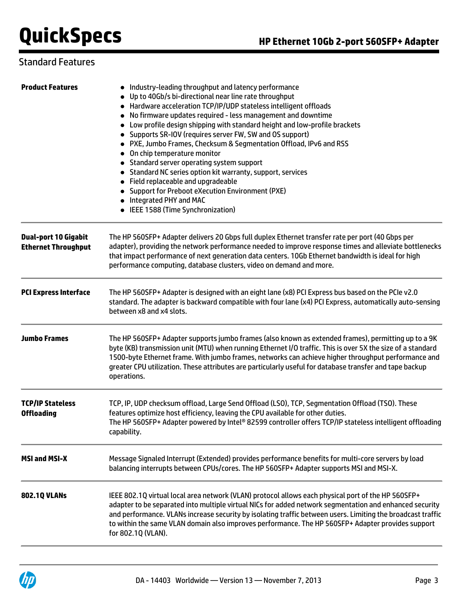# Standard Features

| <b>Product Features</b>                                   | • Industry-leading throughput and latency performance<br>Up to 40Gb/s bi-directional near line rate throughput<br>٠<br>• Hardware acceleration TCP/IP/UDP stateless intelligent offloads<br>No firmware updates required - less management and downtime<br>٠<br>Low profile design shipping with standard height and low-profile brackets<br>٠<br>• Supports SR-IOV (requires server FW, SW and OS support)<br>• PXE, Jumbo Frames, Checksum & Segmentation Offload, IPv6 and RSS<br>• On chip temperature monitor<br>• Standard server operating system support<br>• Standard NC series option kit warranty, support, services<br>• Field replaceable and upgradeable<br>• Support for Preboot eXecution Environment (PXE)<br>• Integrated PHY and MAC<br>• IEEE 1588 (Time Synchronization)<br>The HP 560SFP+ Adapter delivers 20 Gbps full duplex Ethernet transfer rate per port (40 Gbps per<br>adapter), providing the network performance needed to improve response times and alleviate bottlenecks<br>that impact performance of next generation data centers. 10Gb Ethernet bandwidth is ideal for high<br>performance computing, database clusters, video on demand and more. |  |  |
|-----------------------------------------------------------|------------------------------------------------------------------------------------------------------------------------------------------------------------------------------------------------------------------------------------------------------------------------------------------------------------------------------------------------------------------------------------------------------------------------------------------------------------------------------------------------------------------------------------------------------------------------------------------------------------------------------------------------------------------------------------------------------------------------------------------------------------------------------------------------------------------------------------------------------------------------------------------------------------------------------------------------------------------------------------------------------------------------------------------------------------------------------------------------------------------------------------------------------------------------------------------|--|--|
| <b>Dual-port 10 Gigabit</b><br><b>Ethernet Throughput</b> |                                                                                                                                                                                                                                                                                                                                                                                                                                                                                                                                                                                                                                                                                                                                                                                                                                                                                                                                                                                                                                                                                                                                                                                          |  |  |
| <b>PCI Express Interface</b>                              | The HP 560SFP+ Adapter is designed with an eight lane (x8) PCI Express bus based on the PCIe v2.0<br>standard. The adapter is backward compatible with four lane (x4) PCI Express, automatically auto-sensing<br>between x8 and x4 slots.                                                                                                                                                                                                                                                                                                                                                                                                                                                                                                                                                                                                                                                                                                                                                                                                                                                                                                                                                |  |  |
| <b>Jumbo Frames</b>                                       | The HP 560SFP+ Adapter supports jumbo frames (also known as extended frames), permitting up to a 9K<br>byte (KB) transmission unit (MTU) when running Ethernet I/O traffic. This is over 5X the size of a standard<br>1500-byte Ethernet frame. With jumbo frames, networks can achieve higher throughput performance and<br>greater CPU utilization. These attributes are particularly useful for database transfer and tape backup<br>operations.                                                                                                                                                                                                                                                                                                                                                                                                                                                                                                                                                                                                                                                                                                                                      |  |  |
| <b>TCP/IP Stateless</b><br><b>Offloading</b>              | TCP, IP, UDP checksum offload, Large Send Offload (LSO), TCP, Segmentation Offload (TSO). These<br>features optimize host efficiency, leaving the CPU available for other duties.<br>The HP 560SFP+ Adapter powered by Intel® 82599 controller offers TCP/IP stateless intelligent offloading<br>capability.                                                                                                                                                                                                                                                                                                                                                                                                                                                                                                                                                                                                                                                                                                                                                                                                                                                                             |  |  |
| <b>MSI and MSI-X</b>                                      | Message Signaled Interrupt (Extended) provides performance benefits for multi-core servers by load<br>balancing interrupts between CPUs/cores. The HP 560SFP+ Adapter supports MSI and MSI-X.                                                                                                                                                                                                                                                                                                                                                                                                                                                                                                                                                                                                                                                                                                                                                                                                                                                                                                                                                                                            |  |  |
| <b>802.1Q VLANs</b>                                       | IEEE 802.1Q virtual local area network (VLAN) protocol allows each physical port of the HP 560SFP+<br>adapter to be separated into multiple virtual NICs for added network segmentation and enhanced security<br>and performance. VLANs increase security by isolating traffic between users. Limiting the broadcast traffic<br>to within the same VLAN domain also improves performance. The HP 560SFP+ Adapter provides support<br>for 802.1Q (VLAN).                                                                                                                                                                                                                                                                                                                                                                                                                                                                                                                                                                                                                                                                                                                                  |  |  |

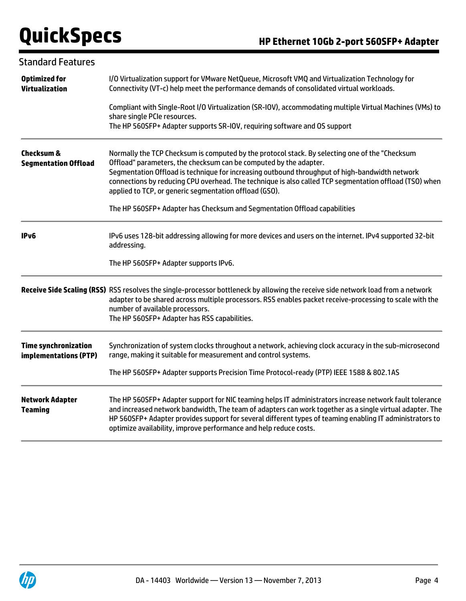| <b>Standard Features</b>                                                                                                                                                                                                                                                                                                                                                                                                                         |                                                                                                                                                                                                                                                                                                                                                                                                                                           |  |  |
|--------------------------------------------------------------------------------------------------------------------------------------------------------------------------------------------------------------------------------------------------------------------------------------------------------------------------------------------------------------------------------------------------------------------------------------------------|-------------------------------------------------------------------------------------------------------------------------------------------------------------------------------------------------------------------------------------------------------------------------------------------------------------------------------------------------------------------------------------------------------------------------------------------|--|--|
| <b>Optimized for</b><br><b>Virtualization</b>                                                                                                                                                                                                                                                                                                                                                                                                    | I/O Virtualization support for VMware NetQueue, Microsoft VMQ and Virtualization Technology for<br>Connectivity (VT-c) help meet the performance demands of consolidated virtual workloads.                                                                                                                                                                                                                                               |  |  |
|                                                                                                                                                                                                                                                                                                                                                                                                                                                  | Compliant with Single-Root I/O Virtualization (SR-IOV), accommodating multiple Virtual Machines (VMs) to<br>share single PCIe resources.<br>The HP 560SFP+ Adapter supports SR-IOV, requiring software and OS support                                                                                                                                                                                                                     |  |  |
| <b>Checksum &amp;</b><br><b>Segmentation Offload</b>                                                                                                                                                                                                                                                                                                                                                                                             | Normally the TCP Checksum is computed by the protocol stack. By selecting one of the "Checksum<br>Offload" parameters, the checksum can be computed by the adapter.<br>Segmentation Offload is technique for increasing outbound throughput of high-bandwidth network<br>connections by reducing CPU overhead. The technique is also called TCP segmentation offload (TSO) when<br>applied to TCP, or generic segmentation offload (GSO). |  |  |
|                                                                                                                                                                                                                                                                                                                                                                                                                                                  | The HP 560SFP+ Adapter has Checksum and Segmentation Offload capabilities                                                                                                                                                                                                                                                                                                                                                                 |  |  |
| IPv6                                                                                                                                                                                                                                                                                                                                                                                                                                             | IPv6 uses 128-bit addressing allowing for more devices and users on the internet. IPv4 supported 32-bit<br>addressing.                                                                                                                                                                                                                                                                                                                    |  |  |
|                                                                                                                                                                                                                                                                                                                                                                                                                                                  | The HP 560SFP+ Adapter supports IPv6.                                                                                                                                                                                                                                                                                                                                                                                                     |  |  |
|                                                                                                                                                                                                                                                                                                                                                                                                                                                  | Receive Side Scaling (RSS) RSS resolves the single-processor bottleneck by allowing the receive side network load from a network<br>adapter to be shared across multiple processors. RSS enables packet receive-processing to scale with the<br>number of available processors.<br>The HP 560SFP+ Adapter has RSS capabilities.                                                                                                           |  |  |
| <b>Time synchronization</b><br>implementations (PTP)                                                                                                                                                                                                                                                                                                                                                                                             | Synchronization of system clocks throughout a network, achieving clock accuracy in the sub-microsecond<br>range, making it suitable for measurement and control systems.                                                                                                                                                                                                                                                                  |  |  |
|                                                                                                                                                                                                                                                                                                                                                                                                                                                  | The HP 560SFP+ Adapter supports Precision Time Protocol-ready (PTP) IEEE 1588 & 802.1AS                                                                                                                                                                                                                                                                                                                                                   |  |  |
| The HP 560SFP+ Adapter support for NIC teaming helps IT administrators increase network fault tolerance<br><b>Network Adapter</b><br>and increased network bandwidth, The team of adapters can work together as a single virtual adapter. The<br><b>Teaming</b><br>HP 560SFP+ Adapter provides support for several different types of teaming enabling IT administrators to<br>optimize availability, improve performance and help reduce costs. |                                                                                                                                                                                                                                                                                                                                                                                                                                           |  |  |

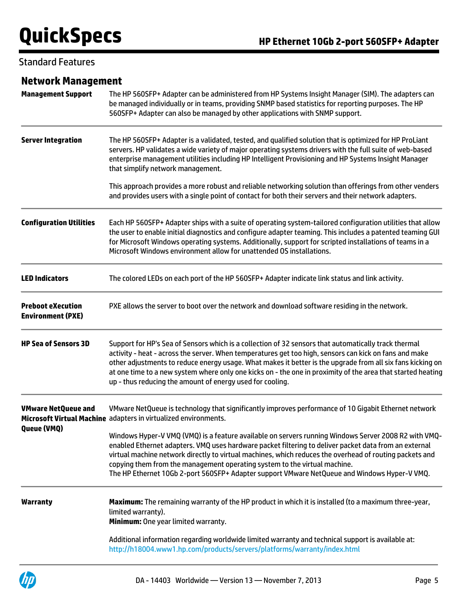# Standard Features

# **Network Management**

| <b>Management Support</b>                            | The HP 560SFP+ Adapter can be administered from HP Systems Insight Manager (SIM). The adapters can<br>be managed individually or in teams, providing SNMP based statistics for reporting purposes. The HP<br>560SFP+ Adapter can also be managed by other applications with SNMP support.                                                                                                                                                                                                                |  |  |
|------------------------------------------------------|----------------------------------------------------------------------------------------------------------------------------------------------------------------------------------------------------------------------------------------------------------------------------------------------------------------------------------------------------------------------------------------------------------------------------------------------------------------------------------------------------------|--|--|
| <b>Server Integration</b>                            | The HP 560SFP+ Adapter is a validated, tested, and qualified solution that is optimized for HP ProLiant<br>servers. HP validates a wide variety of major operating systems drivers with the full suite of web-based<br>enterprise management utilities including HP Intelligent Provisioning and HP Systems Insight Manager<br>that simplify network management.                                                                                                                                         |  |  |
|                                                      | This approach provides a more robust and reliable networking solution than offerings from other venders<br>and provides users with a single point of contact for both their servers and their network adapters.                                                                                                                                                                                                                                                                                          |  |  |
| <b>Configuration Utilities</b>                       | Each HP 560SFP+ Adapter ships with a suite of operating system-tailored configuration utilities that allow<br>the user to enable initial diagnostics and configure adapter teaming. This includes a patented teaming GUI<br>for Microsoft Windows operating systems. Additionally, support for scripted installations of teams in a<br>Microsoft Windows environment allow for unattended OS installations.                                                                                              |  |  |
| <b>LED Indicators</b>                                | The colored LEDs on each port of the HP 560SFP+ Adapter indicate link status and link activity.                                                                                                                                                                                                                                                                                                                                                                                                          |  |  |
| <b>Preboot eXecution</b><br><b>Environment (PXE)</b> | PXE allows the server to boot over the network and download software residing in the network.                                                                                                                                                                                                                                                                                                                                                                                                            |  |  |
| <b>HP Sea of Sensors 3D</b>                          | Support for HP's Sea of Sensors which is a collection of 32 sensors that automatically track thermal<br>activity - heat - across the server. When temperatures get too high, sensors can kick on fans and make<br>other adjustments to reduce energy usage. What makes it better is the upgrade from all six fans kicking on<br>at one time to a new system where only one kicks on - the one in proximity of the area that started heating<br>up - thus reducing the amount of energy used for cooling. |  |  |
| <b>VMware NetQueue and</b>                           | VMware NetQueue is technology that significantly improves performance of 10 Gigabit Ethernet network<br>Microsoft Virtual Machine adapters in virtualized environments.                                                                                                                                                                                                                                                                                                                                  |  |  |
| Queue (VMQ)                                          | Windows Hyper-V VMQ (VMQ) is a feature available on servers running Windows Server 2008 R2 with VMQ-<br>enabled Ethernet adapters. VMQ uses hardware packet filtering to deliver packet data from an external<br>virtual machine network directly to virtual machines, which reduces the overhead of routing packets and<br>copying them from the management operating system to the virtual machine.<br>The HP Ethernet 10Gb 2-port 560SFP+ Adapter support VMware NetQueue and Windows Hyper-V VMQ.    |  |  |
| <b>Warranty</b>                                      | Maximum: The remaining warranty of the HP product in which it is installed (to a maximum three-year,<br>limited warranty).<br>Minimum: One year limited warranty.                                                                                                                                                                                                                                                                                                                                        |  |  |
|                                                      | Additional information regarding worldwide limited warranty and technical support is available at:<br>http://h18004.www1.hp.com/products/servers/platforms/warranty/index.html                                                                                                                                                                                                                                                                                                                           |  |  |

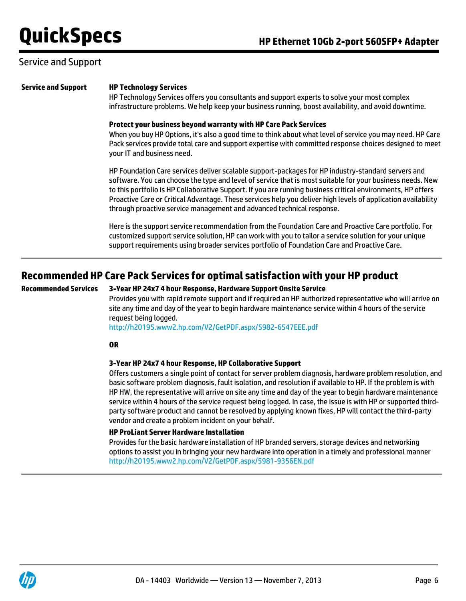### Service and Support

#### **Service and Support HP Technology Services**

HP Technology Services offers you consultants and support experts to solve your most complex infrastructure problems. We help keep your business running, boost availability, and avoid downtime.

#### **Protect your business beyond warranty with HP Care Pack Services**

When you buy HP Options, it's also a good time to think about what level of service you may need. HP Care Pack services provide total care and support expertise with committed response choices designed to meet your IT and business need.

HP Foundation Care services deliver scalable support-packages for HP industry-standard servers and software. You can choose the type and level of service that is most suitable for your business needs. New to this portfolio is HP Collaborative Support. If you are running business critical environments, HP offers Proactive Care or Critical Advantage. These services help you deliver high levels of application availability through proactive service management and advanced technical response.

Here is the support service recommendation from the Foundation Care and Proactive Care portfolio. For customized support service solution, HP can work with you to tailor a service solution for your unique support requirements using broader services portfolio of Foundation Care and Proactive Care.

### **Recommended HP Care Pack Services for optimal satisfaction with your HP product**

### **Recommended Services 3-Year HP 24x7 4 hour Response, Hardware Support Onsite Service**

Provides you with rapid remote support and if required an HP authorized representative who will arrive on site any time and day of the year to begin hardware maintenance service within 4 hours of the service request being logged.

<http://h20195.www2.hp.com/V2/GetPDF.aspx/5982-6547EEE.pdf>

#### **OR**

#### **3-Year HP 24x7 4 hour Response, HP Collaborative Support**

Offers customers a single point of contact for server problem diagnosis, hardware problem resolution, and basic software problem diagnosis, fault isolation, and resolution if available to HP. If the problem is with HP HW, the representative will arrive on site any time and day of the year to begin hardware maintenance service within 4 hours of the service request being logged. In case, the issue is with HP or supported thirdparty software product and cannot be resolved by applying known fixes, HP will contact the third-party vendor and create a problem incident on your behalf.

#### **HP ProLiant Server Hardware Installation**

Provides for the basic hardware installation of HP branded servers, storage devices and networking options to assist you in bringing your new hardware into operation in a timely and professional manner <http://h20195.www2.hp.com/V2/GetPDF.aspx/5981-9356EN.pdf>

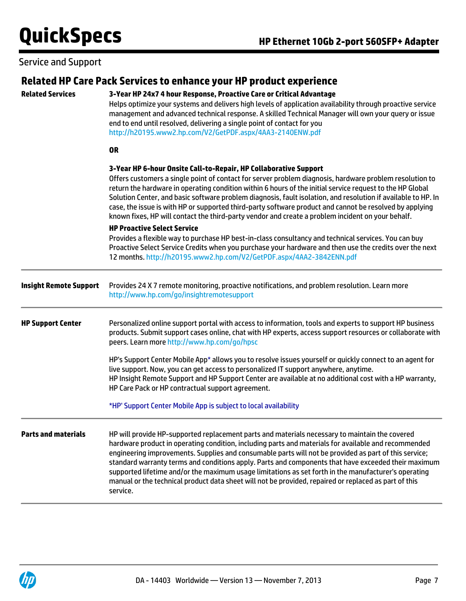# Service and Support

|                               | Related HP Care Pack Services to enhance your HP product experience                                                                                                                                                                                                                                                                                                                                                                                                                                                                                                                                                                                 |  |  |  |
|-------------------------------|-----------------------------------------------------------------------------------------------------------------------------------------------------------------------------------------------------------------------------------------------------------------------------------------------------------------------------------------------------------------------------------------------------------------------------------------------------------------------------------------------------------------------------------------------------------------------------------------------------------------------------------------------------|--|--|--|
| <b>Related Services</b>       | 3-Year HP 24x7 4 hour Response, Proactive Care or Critical Advantage<br>Helps optimize your systems and delivers high levels of application availability through proactive service<br>management and advanced technical response. A skilled Technical Manager will own your query or issue<br>end to end until resolved, delivering a single point of contact for you<br>http://h20195.www2.hp.com/V2/GetPDF.aspx/4AA3-2140ENW.pdf                                                                                                                                                                                                                  |  |  |  |
|                               | <b>OR</b>                                                                                                                                                                                                                                                                                                                                                                                                                                                                                                                                                                                                                                           |  |  |  |
|                               | 3-Year HP 6-hour Onsite Call-to-Repair, HP Collaborative Support<br>Offers customers a single point of contact for server problem diagnosis, hardware problem resolution to<br>return the hardware in operating condition within 6 hours of the initial service request to the HP Global<br>Solution Center, and basic software problem diagnosis, fault isolation, and resolution if available to HP. In<br>case, the issue is with HP or supported third-party software product and cannot be resolved by applying<br>known fixes, HP will contact the third-party vendor and create a problem incident on your behalf.                           |  |  |  |
|                               | <b>HP Proactive Select Service</b><br>Provides a flexible way to purchase HP best-in-class consultancy and technical services. You can buy<br>Proactive Select Service Credits when you purchase your hardware and then use the credits over the next<br>12 months. http://h20195.www2.hp.com/V2/GetPDF.aspx/4AA2-3842ENN.pdf                                                                                                                                                                                                                                                                                                                       |  |  |  |
| <b>Insight Remote Support</b> | Provides 24 X 7 remote monitoring, proactive notifications, and problem resolution. Learn more<br>http://www.hp.com/go/insightremotesupport                                                                                                                                                                                                                                                                                                                                                                                                                                                                                                         |  |  |  |
| <b>HP Support Center</b>      | Personalized online support portal with access to information, tools and experts to support HP business<br>products. Submit support cases online, chat with HP experts, access support resources or collaborate with<br>peers. Learn more http://www.hp.com/go/hpsc                                                                                                                                                                                                                                                                                                                                                                                 |  |  |  |
|                               | HP's Support Center Mobile App* allows you to resolve issues yourself or quickly connect to an agent for<br>live support. Now, you can get access to personalized IT support anywhere, anytime.<br>HP Insight Remote Support and HP Support Center are available at no additional cost with a HP warranty,<br>HP Care Pack or HP contractual support agreement.                                                                                                                                                                                                                                                                                     |  |  |  |
|                               | *HP' Support Center Mobile App is subject to local availability                                                                                                                                                                                                                                                                                                                                                                                                                                                                                                                                                                                     |  |  |  |
| <b>Parts and materials</b>    | HP will provide HP-supported replacement parts and materials necessary to maintain the covered<br>hardware product in operating condition, including parts and materials for available and recommended<br>engineering improvements. Supplies and consumable parts will not be provided as part of this service;<br>standard warranty terms and conditions apply. Parts and components that have exceeded their maximum<br>supported lifetime and/or the maximum usage limitations as set forth in the manufacturer's operating<br>manual or the technical product data sheet will not be provided, repaired or replaced as part of this<br>service. |  |  |  |

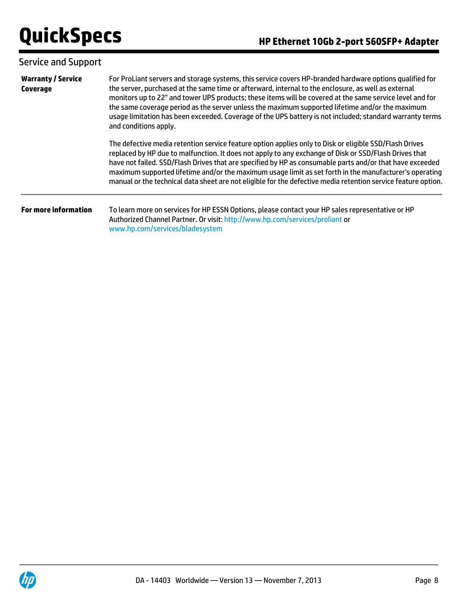# Service and Support

| <b>Warranty / Service</b><br>Coverage | For ProLiant servers and storage systems, this service covers HP-branded hardware options qualified for<br>the server, purchased at the same time or afterward, internal to the enclosure, as well as external<br>monitors up to 22" and tower UPS products; these items will be covered at the same service level and for<br>the same coverage period as the server unless the maximum supported lifetime and/or the maximum<br>usage limitation has been exceeded. Coverage of the UPS battery is not included; standard warranty terms<br>and conditions apply. |  |  |
|---------------------------------------|--------------------------------------------------------------------------------------------------------------------------------------------------------------------------------------------------------------------------------------------------------------------------------------------------------------------------------------------------------------------------------------------------------------------------------------------------------------------------------------------------------------------------------------------------------------------|--|--|
|                                       | The defective media retention service feature option applies only to Disk or eligible SSD/Flash Drives<br>replaced by HP due to malfunction. It does not apply to any exchange of Disk or SSD/Flash Drives that<br>have not failed. SSD/Flash Drives that are specified by HP as consumable parts and/or that have exceeded<br>maximum supported lifetime and/or the maximum usage limit as set forth in the manufacturer's operating<br>manual or the technical data sheet are not eligible for the defective media retention service feature option.             |  |  |
| <b>For more information</b>           | To learn more on services for HP ESSN Options, please contact your HP sales representative or HP<br>Authorized Channel Partner. Or visit: http://www.hp.com/services/proliant or<br>www.hp.com/services/bladesystem                                                                                                                                                                                                                                                                                                                                                |  |  |

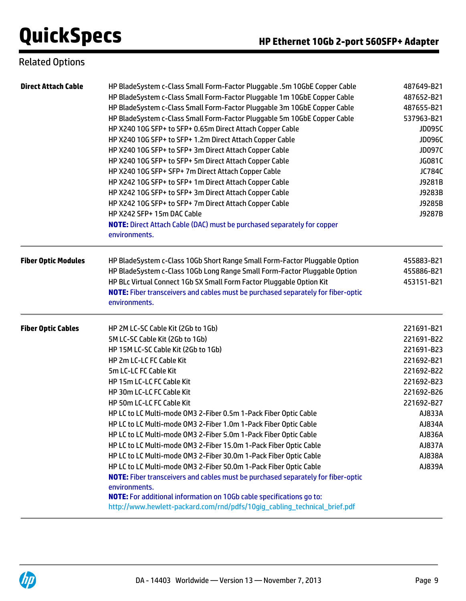# Related Options

| <b>Direct Attach Cable</b> | HP BladeSystem c-Class Small Form-Factor Pluggable .5m 10GbE Copper Cable<br>HP BladeSystem c-Class Small Form-Factor Pluggable 1m 10GbE Copper Cable<br>HP BladeSystem c-Class Small Form-Factor Pluggable 3m 10GbE Copper Cable<br>HP BladeSystem c-Class Small Form-Factor Pluggable 5m 10GbE Copper Cable<br>HP X240 10G SFP+ to SFP+ 0.65m Direct Attach Copper Cable | 487649-B21<br>487652-B21<br>487655-B21<br>537963-B21<br><b>JD095C</b><br><b>JD096C</b><br><b>JD097C</b><br>JG081C<br>JC784C |
|----------------------------|----------------------------------------------------------------------------------------------------------------------------------------------------------------------------------------------------------------------------------------------------------------------------------------------------------------------------------------------------------------------------|-----------------------------------------------------------------------------------------------------------------------------|
|                            | HP X240 10G SFP+ to SFP+ 1.2m Direct Attach Copper Cable<br>HP X240 10G SFP+ to SFP+ 3m Direct Attach Copper Cable                                                                                                                                                                                                                                                         |                                                                                                                             |
|                            | HP X240 10G SFP+ to SFP+ 5m Direct Attach Copper Cable                                                                                                                                                                                                                                                                                                                     |                                                                                                                             |
|                            | HP X240 10G SFP+ SFP+ 7m Direct Attach Copper Cable                                                                                                                                                                                                                                                                                                                        |                                                                                                                             |
|                            | HP X242 10G SFP+ to SFP+ 1m Direct Attach Copper Cable                                                                                                                                                                                                                                                                                                                     | J9281B                                                                                                                      |
|                            | HP X242 10G SFP+ to SFP+ 3m Direct Attach Copper Cable                                                                                                                                                                                                                                                                                                                     | J9283B                                                                                                                      |
|                            | HP X242 10G SFP+ to SFP+ 7m Direct Attach Copper Cable                                                                                                                                                                                                                                                                                                                     | J9285B                                                                                                                      |
|                            | HP X242 SFP+ 15m DAC Cable                                                                                                                                                                                                                                                                                                                                                 | J9287B                                                                                                                      |
|                            | <b>NOTE:</b> Direct Attach Cable (DAC) must be purchased separately for copper<br>environments.                                                                                                                                                                                                                                                                            |                                                                                                                             |
| <b>Fiber Optic Modules</b> | HP BladeSystem c-Class 10Gb Short Range Small Form-Factor Pluggable Option                                                                                                                                                                                                                                                                                                 | 455883-B21                                                                                                                  |
|                            | HP BladeSystem c-Class 10Gb Long Range Small Form-Factor Pluggable Option                                                                                                                                                                                                                                                                                                  | 455886-B21                                                                                                                  |
|                            | HP BLc Virtual Connect 1Gb SX Small Form Factor Pluggable Option Kit<br>NOTE: Fiber transceivers and cables must be purchased separately for fiber-optic<br>environments.                                                                                                                                                                                                  | 453151-B21                                                                                                                  |
| <b>Fiber Optic Cables</b>  | HP 2M LC-SC Cable Kit (2Gb to 1Gb)                                                                                                                                                                                                                                                                                                                                         | 221691-B21                                                                                                                  |
|                            | 5M LC-SC Cable Kit (2Gb to 1Gb)                                                                                                                                                                                                                                                                                                                                            | 221691-B22                                                                                                                  |
|                            | HP 15M LC-SC Cable Kit (2Gb to 1Gb)                                                                                                                                                                                                                                                                                                                                        | 221691-B23                                                                                                                  |
|                            | HP 2m LC-LC FC Cable Kit                                                                                                                                                                                                                                                                                                                                                   | 221692-B21                                                                                                                  |
|                            | 5m LC-LC FC Cable Kit                                                                                                                                                                                                                                                                                                                                                      | 221692-B22                                                                                                                  |
|                            | HP 15m LC-LC FC Cable Kit                                                                                                                                                                                                                                                                                                                                                  | 221692-B23                                                                                                                  |
|                            | HP 30m LC-LC FC Cable Kit                                                                                                                                                                                                                                                                                                                                                  | 221692-B26                                                                                                                  |
|                            | HP 50m LC-LC FC Cable Kit                                                                                                                                                                                                                                                                                                                                                  | 221692-B27                                                                                                                  |
|                            | HP LC to LC Multi-mode OM3 2-Fiber 0.5m 1-Pack Fiber Optic Cable                                                                                                                                                                                                                                                                                                           | AJ833A                                                                                                                      |
|                            | HP LC to LC Multi-mode OM3 2-Fiber 1.0m 1-Pack Fiber Optic Cable                                                                                                                                                                                                                                                                                                           | AJ834A                                                                                                                      |
|                            | HP LC to LC Multi-mode OM3 2-Fiber 5.0m 1-Pack Fiber Optic Cable                                                                                                                                                                                                                                                                                                           | AJ836A                                                                                                                      |
|                            | HP LC to LC Multi-mode OM3 2-Fiber 15.0m 1-Pack Fiber Optic Cable                                                                                                                                                                                                                                                                                                          | AJ837A                                                                                                                      |
|                            | HP LC to LC Multi-mode OM3 2-Fiber 30.0m 1-Pack Fiber Optic Cable                                                                                                                                                                                                                                                                                                          | AJ838A                                                                                                                      |
|                            | HP LC to LC Multi-mode OM3 2-Fiber 50.0m 1-Pack Fiber Optic Cable<br>NOTE: Fiber transceivers and cables must be purchased separately for fiber-optic                                                                                                                                                                                                                      | AJ839A                                                                                                                      |
|                            | environments.                                                                                                                                                                                                                                                                                                                                                              |                                                                                                                             |
|                            | NOTE: For additional information on 10Gb cable specifications go to:<br>http://www.hewlett-packard.com/rnd/pdfs/10gig_cabling_technical_brief.pdf                                                                                                                                                                                                                          |                                                                                                                             |

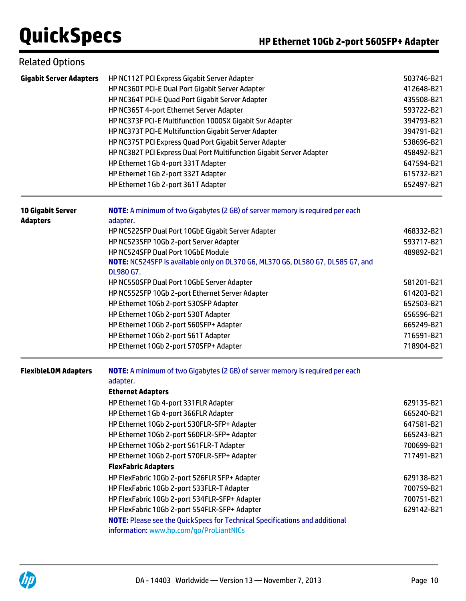| <b>Related Options</b>         |                                                                                                                               |                                        |  |  |
|--------------------------------|-------------------------------------------------------------------------------------------------------------------------------|----------------------------------------|--|--|
| <b>Gigabit Server Adapters</b> | HP NC112T PCI Express Gigabit Server Adapter<br>503746-B21                                                                    |                                        |  |  |
|                                | HP NC360T PCI-E Dual Port Gigabit Server Adapter                                                                              | 412648-B21                             |  |  |
|                                | HP NC364T PCI-E Quad Port Gigabit Server Adapter                                                                              | 435508-B21                             |  |  |
|                                | HP NC365T 4-port Ethernet Server Adapter                                                                                      | 593722-B21                             |  |  |
|                                | HP NC373F PCI-E Multifunction 1000SX Gigabit Svr Adapter                                                                      | 394793-B21                             |  |  |
|                                | HP NC373T PCI-E Multifunction Gigabit Server Adapter                                                                          | 394791-B21<br>538696-B21<br>458492-B21 |  |  |
|                                | HP NC375T PCI Express Quad Port Gigabit Server Adapter                                                                        |                                        |  |  |
|                                | HP NC382T PCI Express Dual Port Multifunction Gigabit Server Adapter                                                          |                                        |  |  |
|                                | HP Ethernet 1Gb 4-port 331T Adapter                                                                                           | 647594-B21                             |  |  |
|                                | HP Ethernet 1Gb 2-port 332T Adapter                                                                                           | 615732-B21                             |  |  |
|                                | HP Ethernet 1Gb 2-port 361T Adapter                                                                                           | 652497-B21                             |  |  |
| <b>10 Gigabit Server</b>       | NOTE: A minimum of two Gigabytes (2 GB) of server memory is required per each                                                 |                                        |  |  |
| <b>Adapters</b>                | adapter.                                                                                                                      |                                        |  |  |
|                                | HP NC522SFP Dual Port 10GbE Gigabit Server Adapter                                                                            | 468332-B21                             |  |  |
|                                | HP NC523SFP 10Gb 2-port Server Adapter<br>HP NC524SFP Dual Port 10GbE Module                                                  | 593717-B21                             |  |  |
|                                | NOTE: NC524SFP is available only on DL370 G6, ML370 G6, DL580 G7, DL585 G7, and                                               | 489892-B21                             |  |  |
|                                | <b>DL980 G7.</b>                                                                                                              |                                        |  |  |
|                                | HP NC550SFP Dual Port 10GbE Server Adapter                                                                                    | 581201-B21                             |  |  |
|                                | HP NC552SFP 10Gb 2-port Ethernet Server Adapter                                                                               | 614203-B21                             |  |  |
|                                | HP Ethernet 10Gb 2-port 530SFP Adapter                                                                                        | 652503-B21                             |  |  |
|                                | HP Ethernet 10Gb 2-port 530T Adapter                                                                                          | 656596-B21                             |  |  |
|                                | HP Ethernet 10Gb 2-port 560SFP+ Adapter                                                                                       | 665249-B21                             |  |  |
|                                | HP Ethernet 10Gb 2-port 561T Adapter                                                                                          | 716591-B21                             |  |  |
|                                | HP Ethernet 10Gb 2-port 570SFP+ Adapter                                                                                       | 718904-B21                             |  |  |
| <b>FlexibleLOM Adapters</b>    | <b>NOTE:</b> A minimum of two Gigabytes (2 GB) of server memory is required per each<br>adapter.                              |                                        |  |  |
|                                | <b>Ethernet Adapters</b>                                                                                                      |                                        |  |  |
|                                | HP Ethernet 1Gb 4-port 331FLR Adapter                                                                                         | 629135-B21                             |  |  |
|                                | HP Ethernet 1Gb 4-port 366FLR Adapter                                                                                         | 665240-B21                             |  |  |
|                                | HP Ethernet 10Gb 2-port 530FLR-SFP+ Adapter                                                                                   | 647581-B21                             |  |  |
|                                | HP Ethernet 10Gb 2-port 560FLR-SFP+ Adapter                                                                                   | 665243-B21                             |  |  |
|                                | HP Ethernet 10Gb 2-port 561FLR-T Adapter                                                                                      | 700699-B21                             |  |  |
|                                | HP Ethernet 10Gb 2-port 570FLR-SFP+ Adapter                                                                                   |                                        |  |  |
|                                | <b>FlexFabric Adapters</b>                                                                                                    |                                        |  |  |
|                                | HP FlexFabric 10Gb 2-port 526FLR SFP+ Adapter                                                                                 | 629138-B21                             |  |  |
|                                | HP FlexFabric 10Gb 2-port 533FLR-T Adapter                                                                                    | 700759-B21                             |  |  |
|                                | HP FlexFabric 10Gb 2-port 534FLR-SFP+ Adapter                                                                                 | 700751-B21                             |  |  |
|                                | HP FlexFabric 10Gb 2-port 554FLR-SFP+ Adapter                                                                                 | 629142-B21                             |  |  |
|                                | <b>NOTE:</b> Please see the QuickSpecs for Technical Specifications and additional<br>information: www.hp.com/go/ProLiantNICs |                                        |  |  |

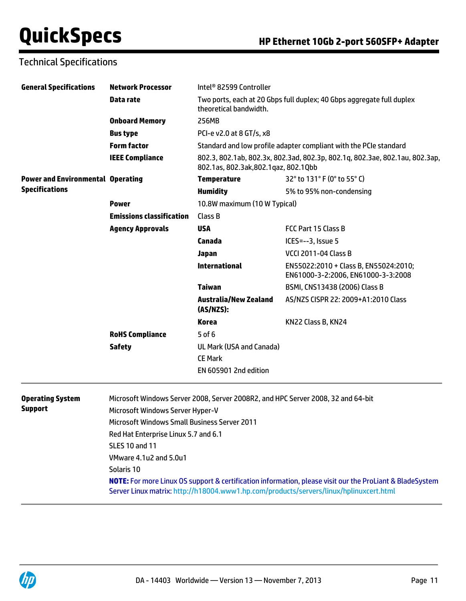# Technical Specifications

| <b>General Specifications</b>             | <b>Network Processor</b>                                                                                                                                                                                                                                                                                                                                                                                                                                                                   | Intel <sup>®</sup> 82599 Controller       |                                                                             |
|-------------------------------------------|--------------------------------------------------------------------------------------------------------------------------------------------------------------------------------------------------------------------------------------------------------------------------------------------------------------------------------------------------------------------------------------------------------------------------------------------------------------------------------------------|-------------------------------------------|-----------------------------------------------------------------------------|
|                                           | Data rate                                                                                                                                                                                                                                                                                                                                                                                                                                                                                  | theoretical bandwidth.                    | Two ports, each at 20 Gbps full duplex; 40 Gbps aggregate full duplex       |
|                                           | <b>Onboard Memory</b>                                                                                                                                                                                                                                                                                                                                                                                                                                                                      | 256MB                                     |                                                                             |
|                                           | <b>Bus type</b>                                                                                                                                                                                                                                                                                                                                                                                                                                                                            | PCI-e v2.0 at 8 GT/s, x8                  |                                                                             |
|                                           | <b>Form factor</b>                                                                                                                                                                                                                                                                                                                                                                                                                                                                         |                                           | Standard and low profile adapter compliant with the PCIe standard           |
|                                           | <b>IEEE Compliance</b>                                                                                                                                                                                                                                                                                                                                                                                                                                                                     | 802.1as, 802.3ak, 802.1 gaz, 802.1 Qbb    | 802.3, 802.1ab, 802.3x, 802.3ad, 802.3p, 802.1q, 802.3ae, 802.1au, 802.3ap, |
| <b>Power and Environmental Operating</b>  |                                                                                                                                                                                                                                                                                                                                                                                                                                                                                            | <b>Temperature</b>                        | 32° to 131° F (0° to 55° C)                                                 |
| <b>Specifications</b>                     |                                                                                                                                                                                                                                                                                                                                                                                                                                                                                            | <b>Humidity</b>                           | 5% to 95% non-condensing                                                    |
|                                           | <b>Power</b>                                                                                                                                                                                                                                                                                                                                                                                                                                                                               | 10.8W maximum (10 W Typical)              |                                                                             |
|                                           | <b>Emissions classification</b>                                                                                                                                                                                                                                                                                                                                                                                                                                                            | Class B                                   |                                                                             |
|                                           | <b>Agency Approvals</b>                                                                                                                                                                                                                                                                                                                                                                                                                                                                    | <b>USA</b>                                | FCC Part 15 Class B                                                         |
|                                           |                                                                                                                                                                                                                                                                                                                                                                                                                                                                                            | Canada                                    | ICES=--3, Issue 5                                                           |
|                                           |                                                                                                                                                                                                                                                                                                                                                                                                                                                                                            | Japan                                     | <b>VCCI 2011-04 Class B</b>                                                 |
|                                           |                                                                                                                                                                                                                                                                                                                                                                                                                                                                                            | <b>International</b>                      | EN55022:2010 + Class B, EN55024:2010;<br>EN61000-3-2:2006, EN61000-3-3:2008 |
|                                           |                                                                                                                                                                                                                                                                                                                                                                                                                                                                                            | <b>Taiwan</b>                             | BSMI, CNS13438 (2006) Class B                                               |
|                                           |                                                                                                                                                                                                                                                                                                                                                                                                                                                                                            | <b>Australia/New Zealand</b><br>(AS/NZS): | AS/NZS CISPR 22: 2009+A1:2010 Class                                         |
|                                           |                                                                                                                                                                                                                                                                                                                                                                                                                                                                                            | Korea                                     | KN22 Class B, KN24                                                          |
|                                           | <b>RoHS Compliance</b>                                                                                                                                                                                                                                                                                                                                                                                                                                                                     | 5 of 6                                    |                                                                             |
|                                           | <b>Safety</b>                                                                                                                                                                                                                                                                                                                                                                                                                                                                              | UL Mark (USA and Canada)                  |                                                                             |
|                                           |                                                                                                                                                                                                                                                                                                                                                                                                                                                                                            | <b>CE Mark</b>                            |                                                                             |
|                                           |                                                                                                                                                                                                                                                                                                                                                                                                                                                                                            | EN 605901 2nd edition                     |                                                                             |
| <b>Operating System</b><br><b>Support</b> | Microsoft Windows Server 2008, Server 2008R2, and HPC Server 2008, 32 and 64-bit<br>Microsoft Windows Server Hyper-V<br><b>Microsoft Windows Small Business Server 2011</b><br>Red Hat Enterprise Linux 5.7 and 6.1<br><b>SLES 10 and 11</b><br>VMware 4.1u2 and 5.0u1<br>Solaris 10<br>NOTE: For more Linux OS support & certification information, please visit our the ProLiant & BladeSystem<br>Server Linux matrix: http://h18004.www1.hp.com/products/servers/linux/hplinuxcert.html |                                           |                                                                             |